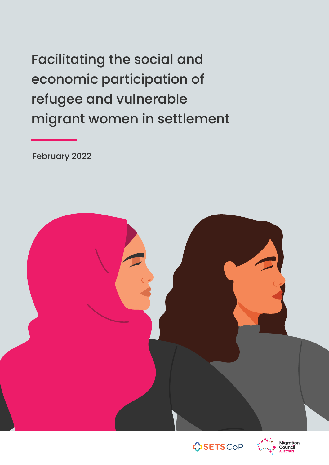Facilitating the social and economic participation of refugee and vulnerable migrant women in settlement

February 2022





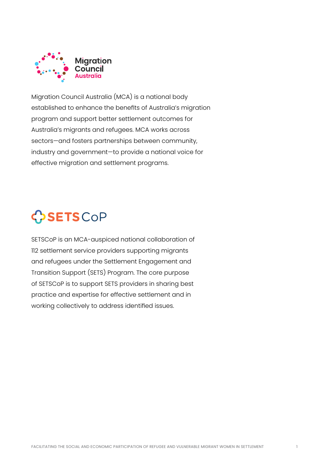

Migration Council Australia (MCA) is a national body established to enhance the benefits of Australia's migration program and support better settlement outcomes for Australia's migrants and refugees. MCA works across sectors—and fosters partnerships between community, industry and government—to provide a national voice for effective migration and settlement programs.

# CSETSCOP

SETSCoP is an MCA-auspiced national collaboration of 112 settlement service providers supporting migrants and refugees under the Settlement Engagement and Transition Support (SETS) Program. The core purpose of SETSCoP is to support SETS providers in sharing best practice and expertise for effective settlement and in working collectively to address identified issues.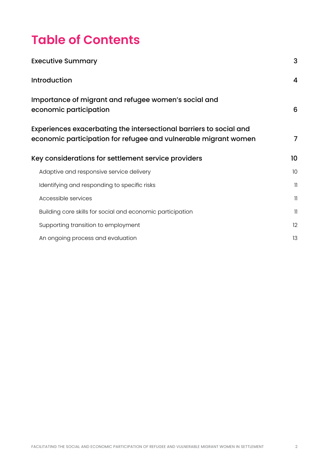## **Table of Contents**

| <b>Executive Summary</b>                                                                                                              | 3              |
|---------------------------------------------------------------------------------------------------------------------------------------|----------------|
| Introduction                                                                                                                          | 4              |
| Importance of migrant and refugee women's social and<br>economic participation                                                        | 6              |
| Experiences exacerbating the intersectional barriers to social and<br>economic participation for refugee and vulnerable migrant women | $\overline{7}$ |
| Key considerations for settlement service providers                                                                                   | 10             |
| Adaptive and responsive service delivery                                                                                              | 10             |
|                                                                                                                                       |                |
| Identifying and responding to specific risks                                                                                          | $\mathbf{1}$   |
| Accessible services                                                                                                                   | 11             |
| Building core skills for social and economic participation                                                                            | 11             |
| Supporting transition to employment                                                                                                   | 12             |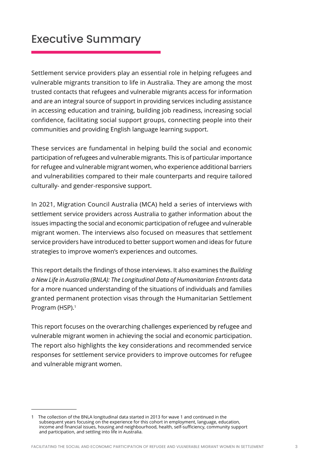### <span id="page-3-0"></span>Executive Summary

Settlement service providers play an essential role in helping refugees and vulnerable migrants transition to life in Australia. They are among the most trusted contacts that refugees and vulnerable migrants access for information and are an integral source of support in providing services including assistance in accessing education and training, building job readiness, increasing social confidence, facilitating social support groups, connecting people into their communities and providing English language learning support.

These services are fundamental in helping build the social and economic participation of refugees and vulnerable migrants. This is of particular importance for refugee and vulnerable migrant women, who experience additional barriers and vulnerabilities compared to their male counterparts and require tailored culturally- and gender-responsive support.

In 2021, Migration Council Australia (MCA) held a series of interviews with settlement service providers across Australia to gather information about the issues impacting the social and economic participation of refugee and vulnerable migrant women. The interviews also focused on measures that settlement service providers have introduced to better support women and ideas for future strategies to improve women's experiences and outcomes.

This report details the findings of those interviews. It also examines the *Building a New Life in Australia (BNLA): The Longitudinal Data of Humanitarian Entrants* data for a more nuanced understanding of the situations of individuals and families granted permanent protection visas through the Humanitarian Settlement Program (HSP).<sup>1</sup>

This report focuses on the overarching challenges experienced by refugee and vulnerable migrant women in achieving the social and economic participation. The report also highlights the key considerations and recommended service responses for settlement service providers to improve outcomes for refugee and vulnerable migrant women.

<sup>1</sup> The collection of the BNLA longitudinal data started in 2013 for wave 1 and continued in the subsequent years focusing on the experience for this cohort in employment, language, education, income and financial issues, housing and neighbourhood, health, self-sufficiency, community support and participation, and settling into life in Australia.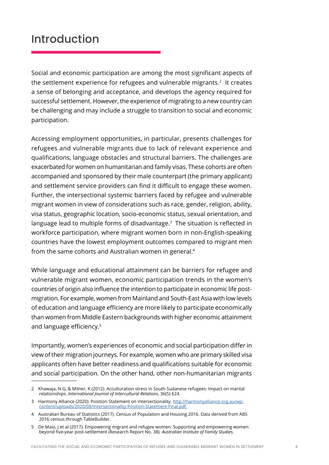### <span id="page-4-0"></span>Introduction

Social and economic participation are among the most significant aspects of the settlement experience for refugees and vulnerable migrants.<sup>2</sup> It creates a sense of belonging and acceptance, and develops the agency required for successful settlement. However, the experience of migrating to a new country can be challenging and may include a struggle to transition to social and economic participation.

Accessing employment opportunities, in particular, presents challenges for refugees and vulnerable migrants due to lack of relevant experience and qualifications, language obstacles and structural barriers. The challenges are exacerbated for women on humanitarian and family visas. These cohorts are often accompanied and sponsored by their male counterpart (the primary applicant) and settlement service providers can find it difficult to engage these women. Further, the intersectional systemic barriers faced by refugee and vulnerable migrant women in view of considerations such as race, gender, religion, ability, visa status, geographic location, socio-economic status, sexual orientation, and language lead to multiple forms of disadvantage.<sup>3</sup> The situation is reflected in workforce participation, where migrant women born in non-English-speaking countries have the lowest employment outcomes compared to migrant men from the same cohorts and Australian women in general.4

While language and educational attainment can be barriers for refugee and vulnerable migrant women, economic participation trends in the women's countries of origin also influence the intention to participate in economic life postmigration. For example, women from Mainland and South-East Asia with low levels of education and language efficiency are more likely to participate economically than women from Middle Eastern backgrounds with higher economic attainment and language efficiency.<sup>5</sup>

Importantly, women's experiences of economic and social participation differ in view of their migration journeys. For example, women who are primary skilled visa applicants often have better readiness and qualifications suitable for economic and social participation. On the other hand, other non-humanitarian migrants

<sup>2</sup> Khawaja, N G, & Milner, K (2012). Acculturation stress in South Sudanese refugees: Impact on marital relationships. *International Journal of Intercultural Relations*, 36(5) 624.

<sup>3</sup> Harmony Alliance (2020). Position Statement on Intersectionality. [http://harmonyalliance.org.au/wp](http://harmonyalliance.org.au/wp-content/uploads/2020/08/Intersectionality-Position-Statement-Final.pdf.)[content/uploads/2020/08/Intersectionality-Position-Statement-Final.pdf.](http://harmonyalliance.org.au/wp-content/uploads/2020/08/Intersectionality-Position-Statement-Final.pdf.)

<sup>4</sup> Australian Bureau of Statistics (2017). Census of Population and Housing 2016. Data derived from ABS 2016 census through TableBuilder.

<sup>5</sup> De Maio, J et al (2017). Empowering migrant and refugee women: Supporting and empowering women beyond five-year post-settlement (Research Report No. 38). *Australian Institute of Family Studies.*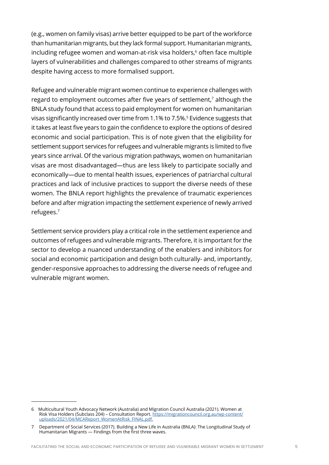(e.g., women on family visas) arrive better equipped to be part of the workforce than humanitarian migrants, but they lack formal support. Humanitarian migrants, including refugee women and woman-at-risk visa holders,<sup>6</sup> often face multiple layers of vulnerabilities and challenges compared to other streams of migrants despite having access to more formalised support.

Refugee and vulnerable migrant women continue to experience challenges with regard to employment outcomes after five years of settlement,<sup>7</sup> although the BNLA study found that access to paid employment for women on humanitarian visas significantly increased over time from 1.1% to 7.5%.<sup>5</sup> Evidence suggests that it takes at least five years to gain the confidence to explore the options of desired economic and social participation. This is of note given that the eligibility for settlement support services for refugees and vulnerable migrants is limited to five years since arrival. Of the various migration pathways, women on humanitarian visas are most disadvantaged—thus are less likely to participate socially and economically—due to mental health issues, experiences of patriarchal cultural practices and lack of inclusive practices to support the diverse needs of these women. The BNLA report highlights the prevalence of traumatic experiences before and after migration impacting the settlement experience of newly arrived refugees.<sup>7</sup>

Settlement service providers play a critical role in the settlement experience and outcomes of refugees and vulnerable migrants. Therefore, it is important for the sector to develop a nuanced understanding of the enablers and inhibitors for social and economic participation and design both culturally- and, importantly, gender-responsive approaches to addressing the diverse needs of refugee and vulnerable migrant women.

<sup>6</sup> Multicultural Youth Advocacy Network (Australia) and Migration Council Australia (2021). Women at Risk Visa Holders (Subclass 204) – Consultation Report. [https://migrationcouncil.org.au/wp-content/](https://migrationcouncil.org.au/wp-content/uploads/2021/04/MCAReport_WomenAtRisk_FINAL.pdf.) [uploads/2021/04/MCAReport\\_WomenAtRisk\\_FINAL.pdf.](https://migrationcouncil.org.au/wp-content/uploads/2021/04/MCAReport_WomenAtRisk_FINAL.pdf.)

<sup>7</sup> Department of Social Services (2017). Building a New Life in Australia (BNLA): The Longitudinal Study of Humanitarian Migrants — Findings from the first three waves.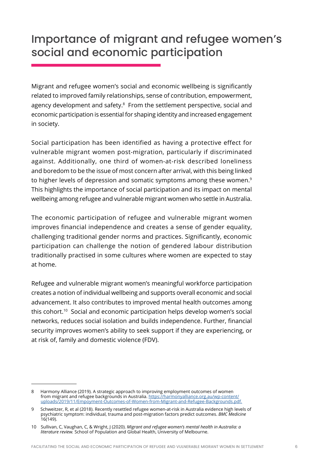### <span id="page-6-0"></span>Importance of migrant and refugee women's social and economic participation

Migrant and refugee women's social and economic wellbeing is significantly related to improved family relationships, sense of contribution, empowerment, agency development and safety.<sup>8</sup> From the settlement perspective, social and economic participation is essential for shaping identity and increased engagement in society.

Social participation has been identified as having a protective effect for vulnerable migrant women post-migration, particularly if discriminated against. Additionally, one third of women-at-risk described loneliness and boredom to be the issue of most concern after arrival, with this being linked to higher levels of depression and somatic symptoms among these women.<sup>9</sup> This highlights the importance of social participation and its impact on mental wellbeing among refugee and vulnerable migrant women who settle in Australia.

The economic participation of refugee and vulnerable migrant women improves financial independence and creates a sense of gender equality, challenging traditional gender norms and practices. Significantly, economic participation can challenge the notion of gendered labour distribution traditionally practised in some cultures where women are expected to stay at home.

Refugee and vulnerable migrant women's meaningful workforce participation creates a notion of individual wellbeing and supports overall economic and social advancement. It also contributes to improved mental health outcomes among this cohort.10 Social and economic participation helps develop women's social networks, reduces social isolation and builds independence. Further, financial security improves women's ability to seek support if they are experiencing, or at risk of, family and domestic violence (FDV).

<sup>8</sup> Harmony Alliance (2019). A strategic approach to improving employment outcomes of women from migrant and refugee backgrounds in Australia. [https://harmonyalliance.org.au/wp-content/](https://harmonyalliance.org.au/wp-content/uploads/2019/11/Empoyment-Outcomes-of-Women-from-Migrant-and-Refugee-Backgrounds.pdf.) [uploads/2019/11/Empoyment-Outcomes-of-Women-from-Migrant-and-Refugee-Backgrounds.pdf.](https://harmonyalliance.org.au/wp-content/uploads/2019/11/Empoyment-Outcomes-of-Women-from-Migrant-and-Refugee-Backgrounds.pdf.)

<sup>9</sup> Schweitzer, R, et al (2018). Recently resettled refugee women-at-risk in Australia evidence high levels of psychiatric symptom: individual, trauma and post-migration factors predict outcomes. *BMC Medicine* 16(149).

<sup>10</sup> Sullivan, C, Vaughan, C, & Wright, J (2020). *Migrant and refugee women's mental health in Australia: a literature review.* School of Population and Global Health, University of Melbourne.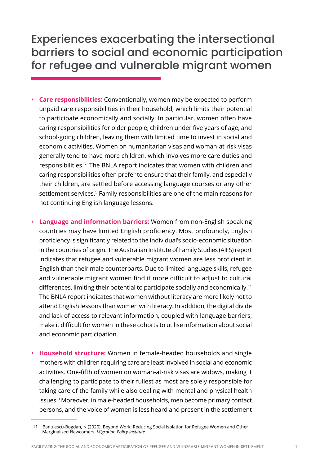### <span id="page-7-0"></span>Experiences exacerbating the intersectional barriers to social and economic participation for refugee and vulnerable migrant women

- **• Care responsibilities:** Conventionally, women may be expected to perform unpaid care responsibilities in their household, which limits their potential to participate economically and socially. In particular, women often have caring responsibilities for older people, children under five years of age, and school-going children, leaving them with limited time to invest in social and economic activities. Women on humanitarian visas and woman-at-risk visas generally tend to have more children, which involves more care duties and responsibilities.<sup>5</sup> The BNLA report indicates that women with children and caring responsibilities often prefer to ensure that their family, and especially their children, are settled before accessing language courses or any other settlement services.<sup>5</sup> Family responsibilities are one of the main reasons for not continuing English language lessons.
- **• Language and information barriers:** Women from non-English speaking countries may have limited English proficiency. Most profoundly, English proficiency is significantly related to the individual's socio-economic situation in the countries of origin. The Australian Institute of Family Studies (AIFS) report indicates that refugee and vulnerable migrant women are less proficient in English than their male counterparts. Due to limited language skills, refugee and vulnerable migrant women find it more difficult to adjust to cultural differences, limiting their potential to participate socially and economically.<sup>11</sup> The BNLA report indicates that women without literacy are more likely not to attend English lessons than women with literacy. In addition, the digital divide and lack of access to relevant information, coupled with language barriers, make it difficult for women in these cohorts to utilise information about social and economic participation.
- **• Household structure:** Women in female-headed households and single mothers with children requiring care are least involved in social and economic activities. One-fifth of women on woman-at-risk visas are widows, making it challenging to participate to their fullest as most are solely responsible for taking care of the family while also dealing with mental and physical health issues.9 Moreover, in male-headed households, men become primary contact persons, and the voice of women is less heard and present in the settlement

<sup>11</sup> Banulescu-Bogdan, N (2020). Beyond Work: Reducing Social Isolation for Refugee Women and Other Marginalized Newcomers. *Migration Policy Institute.*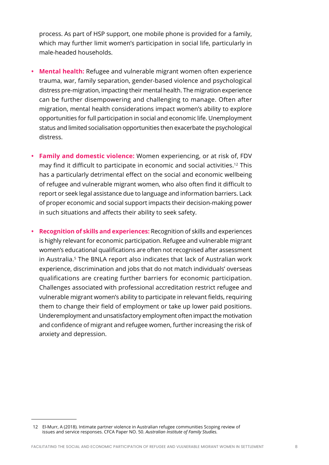process. As part of HSP support, one mobile phone is provided for a family, which may further limit women's participation in social life, particularly in male-headed households.

- **• Mental health:** Refugee and vulnerable migrant women often experience trauma, war, family separation, gender-based violence and psychological distress pre-migration, impacting their mental health. The migration experience can be further disempowering and challenging to manage. Often after migration, mental health considerations impact women's ability to explore opportunities for full participation in social and economic life. Unemployment status and limited socialisation opportunities then exacerbate the psychological distress.
- **• Family and domestic violence:** Women experiencing, or at risk of, FDV may find it difficult to participate in economic and social activities.12 This has a particularly detrimental effect on the social and economic wellbeing of refugee and vulnerable migrant women, who also often find it difficult to report or seek legal assistance due to language and information barriers. Lack of proper economic and social support impacts their decision-making power in such situations and affects their ability to seek safety.
- **• Recognition of skills and experiences:** Recognition of skills and experiences is highly relevant for economic participation. Refugee and vulnerable migrant women's educational qualifications are often not recognised after assessment in Australia.5 The BNLA report also indicates that lack of Australian work experience, discrimination and jobs that do not match individuals' overseas qualifications are creating further barriers for economic participation. Challenges associated with professional accreditation restrict refugee and vulnerable migrant women's ability to participate in relevant fields, requiring them to change their field of employment or take up lower paid positions. Underemployment and unsatisfactory employment often impact the motivation and confidence of migrant and refugee women, further increasing the risk of anxiety and depression.

<sup>12</sup> El-Murr, A (2018). Intimate partner violence in Australian refugee communities Scoping review of issues and service responses. CFCA Paper NO. 50. *Australian Institute of Family Studies.*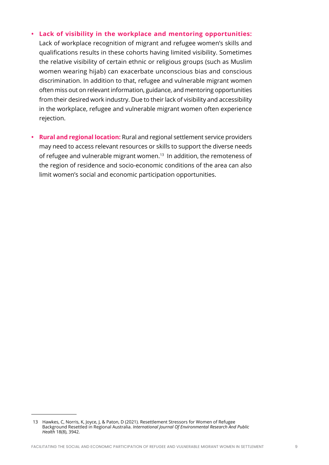#### **• Lack of visibility in the workplace and mentoring opportunities:**

Lack of workplace recognition of migrant and refugee women's skills and qualifications results in these cohorts having limited visibility. Sometimes the relative visibility of certain ethnic or religious groups (such as Muslim women wearing hijab) can exacerbate unconscious bias and conscious discrimination. In addition to that, refugee and vulnerable migrant women often miss out on relevant information, guidance, and mentoring opportunities from their desired work industry. Due to their lack of visibility and accessibility in the workplace, refugee and vulnerable migrant women often experience rejection.

**• Rural and regional location:** Rural and regional settlement service providers may need to access relevant resources or skills to support the diverse needs of refugee and vulnerable migrant women.<sup>13</sup> In addition, the remoteness of the region of residence and socio-economic conditions of the area can also limit women's social and economic participation opportunities.

<sup>13</sup> Hawkes, C, Norris, K, Joyce, J, & Paton, D (2021). Resettlement Stressors for Women of Refugee Background Resettled in Regional Australia. *International Journal Of Environmental Research And Public Health* 18(8), 3942.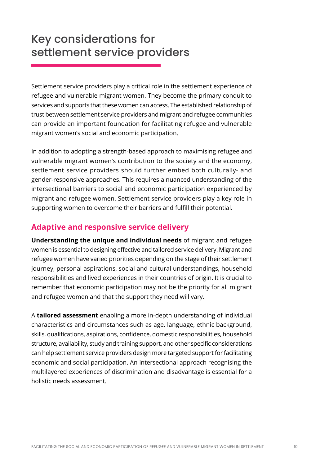### <span id="page-10-0"></span>Key considerations for settlement service providers

Settlement service providers play a critical role in the settlement experience of refugee and vulnerable migrant women. They become the primary conduit to services and supports that these women can access. The established relationship of trust between settlement service providers and migrant and refugee communities can provide an important foundation for facilitating refugee and vulnerable migrant women's social and economic participation.

In addition to adopting a strength-based approach to maximising refugee and vulnerable migrant women's contribution to the society and the economy, settlement service providers should further embed both culturally- and gender-responsive approaches. This requires a nuanced understanding of the intersectional barriers to social and economic participation experienced by migrant and refugee women. Settlement service providers play a key role in supporting women to overcome their barriers and fulfill their potential.

### **Adaptive and responsive service delivery**

**Understanding the unique and individual needs** of migrant and refugee women is essential to designing effective and tailored service delivery. Migrant and refugee women have varied priorities depending on the stage of their settlement journey, personal aspirations, social and cultural understandings, household responsibilities and lived experiences in their countries of origin. It is crucial to remember that economic participation may not be the priority for all migrant and refugee women and that the support they need will vary.

A **tailored assessment** enabling a more in-depth understanding of individual characteristics and circumstances such as age, language, ethnic background, skills, qualifications, aspirations, confidence, domestic responsibilities, household structure, availability, study and training support, and other specific considerations can help settlement service providers design more targeted support for facilitating economic and social participation. An intersectional approach recognising the multilayered experiences of discrimination and disadvantage is essential for a holistic needs assessment.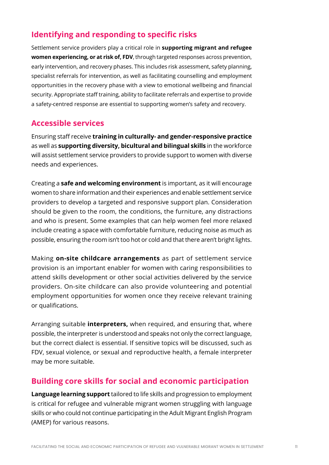### <span id="page-11-0"></span>**Identifying and responding to specific risks**

Settlement service providers play a critical role in **supporting migrant and refugee women experiencing, or at risk of, FDV**, through targeted responses across prevention, early intervention, and recovery phases. This includes risk assessment, safety planning, specialist referrals for intervention, as well as facilitating counselling and employment opportunities in the recovery phase with a view to emotional wellbeing and financial security. Appropriate staff training, ability to facilitate referrals and expertise to provide a safety-centred response are essential to supporting women's safety and recovery.

#### **Accessible services**

Ensuring staff receive **training in culturally- and gender-responsive practice** as well as **supporting diversity, bicultural and bilingual skills** in the workforce will assist settlement service providers to provide support to women with diverse needs and experiences.

Creating a **safe and welcoming environment** is important, as it will encourage women to share information and their experiences and enable settlement service providers to develop a targeted and responsive support plan. Consideration should be given to the room, the conditions, the furniture, any distractions and who is present. Some examples that can help women feel more relaxed include creating a space with comfortable furniture, reducing noise as much as possible, ensuring the room isn't too hot or cold and that there aren't bright lights.

Making **on-site childcare arrangements** as part of settlement service provision is an important enabler for women with caring responsibilities to attend skills development or other social activities delivered by the service providers. On-site childcare can also provide volunteering and potential employment opportunities for women once they receive relevant training or qualifications.

Arranging suitable **interpreters,** when required, and ensuring that, where possible, the interpreter is understood and speaks not only the correct language, but the correct dialect is essential. If sensitive topics will be discussed, such as FDV, sexual violence, or sexual and reproductive health, a female interpreter may be more suitable.

#### **Building core skills for social and economic participation**

**Language learning support** tailored to life skills and progression to employment is critical for refugee and vulnerable migrant women struggling with language skills or who could not continue participating in the Adult Migrant English Program (AMEP) for various reasons.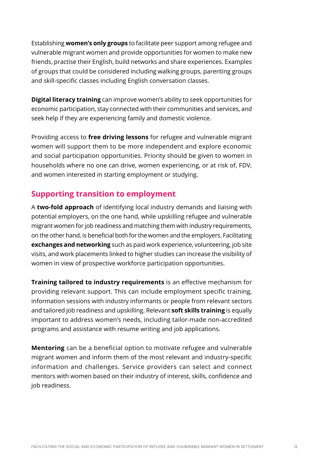<span id="page-12-0"></span>Establishing **women's only groups** to facilitate peer support among refugee and vulnerable migrant women and provide opportunities for women to make new friends, practise their English, build networks and share experiences. Examples of groups that could be considered including walking groups, parenting groups and skill-specific classes including English conversation classes.

**Digital literacy training** can improve women's ability to seek opportunities for economic participation, stay connected with their communities and services, and seek help if they are experiencing family and domestic violence.

Providing access to **free driving lessons** for refugee and vulnerable migrant women will support them to be more independent and explore economic and social participation opportunities. Priority should be given to women in households where no one can drive, women experiencing, or at risk of, FDV, and women interested in starting employment or studying.

#### **Supporting transition to employment**

A **two-fold approach** of identifying local industry demands and liaising with potential employers, on the one hand, while upskilling refugee and vulnerable migrant women for job readiness and matching them with industry requirements, on the other hand, is beneficial both for the women and the employers. Facilitating **exchanges and networking** such as paid work experience, volunteering, job site visits, and work placements linked to higher studies can increase the visibility of women in view of prospective workforce participation opportunities.

**Training tailored to industry requirements** is an effective mechanism for providing relevant support. This can include employment specific training, information sessions with industry informants or people from relevant sectors and tailored job readiness and upskilling. Relevant **soft skills training** is equally important to address women's needs, including tailor-made non-accredited programs and assistance with resume writing and job applications.

**Mentoring** can be a beneficial option to motivate refugee and vulnerable migrant women and inform them of the most relevant and industry-specific information and challenges. Service providers can select and connect mentors with women based on their industry of interest, skills, confidence and job readiness.